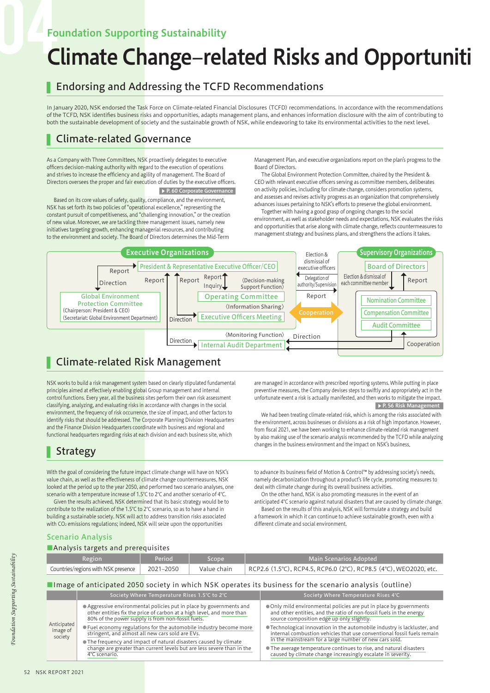## Foundation Supporting Sustainability

# Climate Change–related Risks and Opportuniti

## Endorsing and Addressing the TCFD Recommendations

In January 2020, NSK endorsed the Task Force on Climate-related Financial Disclosures (TCFD) recommendations. In accordance with the recommendations of the TCFD, NSK identifies business risks and opportunities, adapts management plans, and enhances information disclosure with the aim of contributing to both the sustainable development of society and the sustainable growth of NSK, while endeavoring to take its environmental activities to the next level.

## Climate-related Governance

As a Company with Three Committees, NSK proactively delegates to executive officers decision-making authority with regard to the execution of operations and strives to increase the efficiency and agility of management. The Board of Directors oversees the proper and fair execution of duties by the executive officers. ▶ P. 60 Corporate Governance

Based on its core values of safety, quality, compliance, and the environment, NSK has set forth its two policies of "operational excellence," representing the constant pursuit of competitiveness, and "challenging innovation," or the creation of new value. Moreover, we are tackling three management issues, namely new initiatives targeting growth, enhancing managerial resources, and contributing to the environment and society. The Board of Directors determines the Mid-Term

Management Plan, and executive organizations report on the plan's progress to the Board of Directors.

The Global Environment Protection Committee, chaired by the President & CEO with relevant executive officers serving as committee members, deliberates on activity policies, including for climate change, considers promotion systems, and assesses and revises activity progress as an organization that comprehensively advances issues pertaining to NSK's efforts to preserve the global environment.

Together with having a good grasp of ongoing changes to the social environment, as well as stakeholder needs and expectations, NSK evaluates the risks and opportunities that arise along with climate change, reflects countermeasures to management strategy and business plans, and strengthens the actions it takes.



## Climate-related Risk Management

NSK works to build a risk management system based on clearly stipulated fundamental principles aimed at effectively enabling global Group management and internal control functions. Every year, all the business sites perform their own risk assessment classifying, analyzing, and evaluating risks in accordance with changes in the social environment, the frequency of risk occurrence, the size of impact, and other factors to identify risks that should be addressed. The Corporate Planning Division Headquarters and the Finance Division Headquarters coordinate with business and regional and functional headquarters regarding risks at each division and each business site, which

## Strategy

With the goal of considering the future impact climate change will have on NSK's value chain, as well as the effectiveness of climate change countermeasures, NSK looked at the period up to the year 2050, and performed two scenario analyses, one scenario with a temperature increase of 1.5℃ to 2℃ and another scenario of 4℃.

Given the results achieved, NSK determined that its basic strategy would be to contribute to the realization of the 1.5℃ to 2℃ scenario, so as to have a hand in building a sustainable society. NSK will act to address transition risks associated with CO<sub>2</sub> emissions regulations; indeed, NSK will seize upon the opportunities

are managed in accordance with prescribed reporting systems. While putting in place preventive measures, the Company devises steps to swiftly and appropriately act in the unfortunate event a risk is actually manifested, and then works to mitigate the impact.  $\triangleright$  P. 56 Risk Man

We had been treating climate-related risk, which is among the risks associated with the environment, across businesses or divisions as a risk of high importance. However, from fiscal 2021, we have been working to enhance climate-related risk management by also making use of the scenario analysis recommended by the TCFD while analyzing changes in the business environment and the impact on NSK's business.

to advance its business field of Motion & Control™ by addressing society's needs, namely decarbonization throughout a product's life cycle, promoting measures to deal with climate change during its overall business activities.

On the other hand, NSK is also promoting measures in the event of an anticipated 4℃ scenario against natural disasters that are caused by climate change. Based on the results of this analysis, NSK will formulate a strategy and build a framework in which it can continue to achieve sustainable growth, even with a different climate and social environment.

### Scenario Analysis

#### ■Analysis targets and prerequisites

| $\blacksquare$                      |           |             |                                                                   |  |
|-------------------------------------|-----------|-------------|-------------------------------------------------------------------|--|
| <b>Region</b>                       | Period    | Scope       | Main Scenarios Adopted                                            |  |
| Countries/regions with NSK presence | 2021–2050 | Value chain | RCP2.6 (1.5°C), RCP4.5, RCP6.0 (2°C), RCP8.5 (4°C), WEO2020, etc. |  |
|                                     |           |             |                                                                   |  |

#### ■Image of anticipated 2050 society in which NSK operates its business for the scenario analysis (outline)

|             |                     | Society Where Temperature Rises 1.5℃ to 2℃                                                                                                                                                        | Society Where Temperature Rises 4°C                                                                                                                                                                                                                                                                                                                                                                                                                                                                                                         |  |
|-------------|---------------------|---------------------------------------------------------------------------------------------------------------------------------------------------------------------------------------------------|---------------------------------------------------------------------------------------------------------------------------------------------------------------------------------------------------------------------------------------------------------------------------------------------------------------------------------------------------------------------------------------------------------------------------------------------------------------------------------------------------------------------------------------------|--|
| Anticipated |                     | • Aggressive environmental policies put in place by governments and<br>other entities fix the price of carbon at a high level, and more than<br>80% of the power supply is from non-fossil fuels. | • Only mild environmental policies are put in place by governments<br>and other entities, and the ratio of non-fossil fuels in the energy<br>source composition edge up only slightly.<br>● Technological innovation in the automobile industry is lackluster, and<br>internal combustion vehicles that use conventional fossil fuels remain<br>in the mainstream for a large number of new cars sold.<br>• The average temperature continues to rise, and natural disasters<br>caused by climate change increasingly escalate in severity. |  |
|             | image of<br>society | • Fuel economy regulations for the automobile industry become more<br>stringent, and almost all new cars sold are EVs.                                                                            |                                                                                                                                                                                                                                                                                                                                                                                                                                                                                                                                             |  |
|             |                     | • The frequency and impact of natural disasters caused by climate<br>change are greater than current levels but are less severe than in the<br>4°C scenario.                                      |                                                                                                                                                                                                                                                                                                                                                                                                                                                                                                                                             |  |